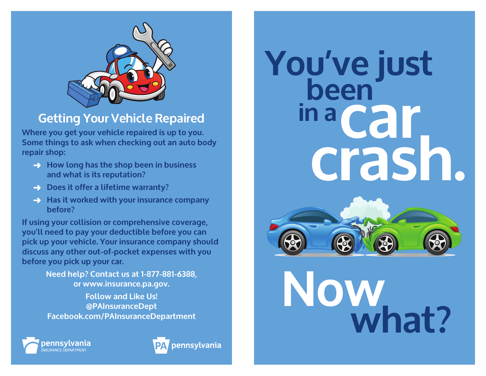

## **Getting Your Vehicle Repaired**

**Where you get your vehicle repaired is up to you. Some things to ask when checking out an auto body repair shop:**

- $\rightarrow$  **How long has the shop been in business and what is its reputation?**
- $\rightarrow$  Does it offer a lifetime warranty?
- $\rightarrow$  **Has it worked with your insurance company before?**

**If using your collision or comprehensive coverage, you'll need to pay your deductible before you can pick up your vehicle. Your insurance company should discuss any other out-of-pocket expenses with you before you pick up your car.** 

> **Need help? Contact us at 1-877-881-6388, or www.insurance.pa.gov.**

**Follow and Like Us! @PAInsuranceDept Facebook.com/PAInsuranceDepartment**





**been car crash. in a You've just**



# **what? Now**